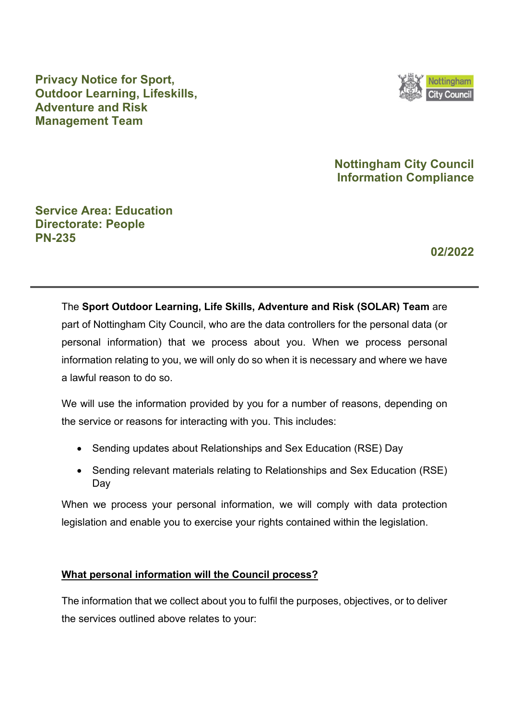

## **Privacy Notice for Sport, Outdoor Learning, Lifeskills, Adventure and Risk Management Team**

## **Nottingham City Council Information Compliance**

## **Service Area: Education Directorate: People PN-235**

**02/2022** 

The **Sport Outdoor Learning, Life Skills, Adventure and Risk (SOLAR) Team** are part of Nottingham City Council, who are the data controllers for the personal data (or personal information) that we process about you. When we process personal information relating to you, we will only do so when it is necessary and where we have a lawful reason to do so.

We will use the information provided by you for a number of reasons, depending on the service or reasons for interacting with you. This includes:

- Sending updates about Relationships and Sex Education (RSE) Day
- Sending relevant materials relating to Relationships and Sex Education (RSE) Day

When we process your personal information, we will comply with data protection legislation and enable you to exercise your rights contained within the legislation.

### **What personal information will the Council process?**

The information that we collect about you to fulfil the purposes, objectives, or to deliver the services outlined above relates to your: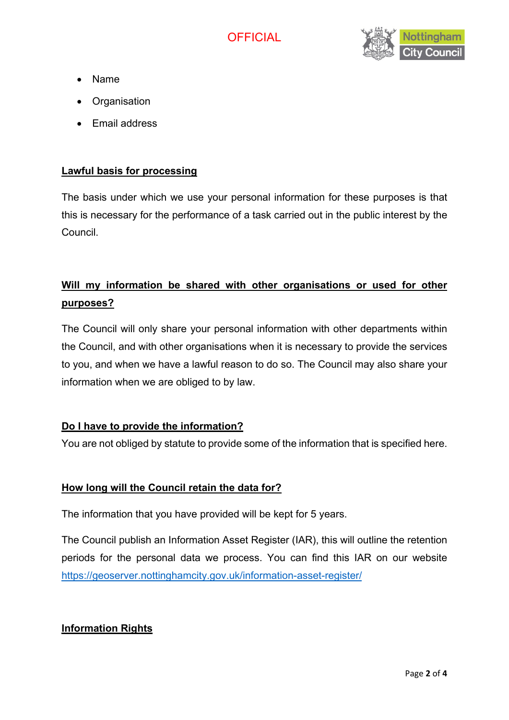

- Name
- **Organisation**
- Email address

#### **Lawful basis for processing**

The basis under which we use your personal information for these purposes is that this is necessary for the performance of a task carried out in the public interest by the Council.

# **Will my information be shared with other organisations or used for other purposes?**

The Council will only share your personal information with other departments within the Council, and with other organisations when it is necessary to provide the services to you, and when we have a lawful reason to do so. The Council may also share your information when we are obliged to by law.

#### **Do I have to provide the information?**

You are not obliged by statute to provide some of the information that is specified here.

#### **How long will the Council retain the data for?**

The information that you have provided will be kept for 5 years.

The Council publish an Information Asset Register (IAR), this will outline the retention periods for the personal data we process. You can find this IAR on our website <https://geoserver.nottinghamcity.gov.uk/information-asset-register/>

### **Information Rights**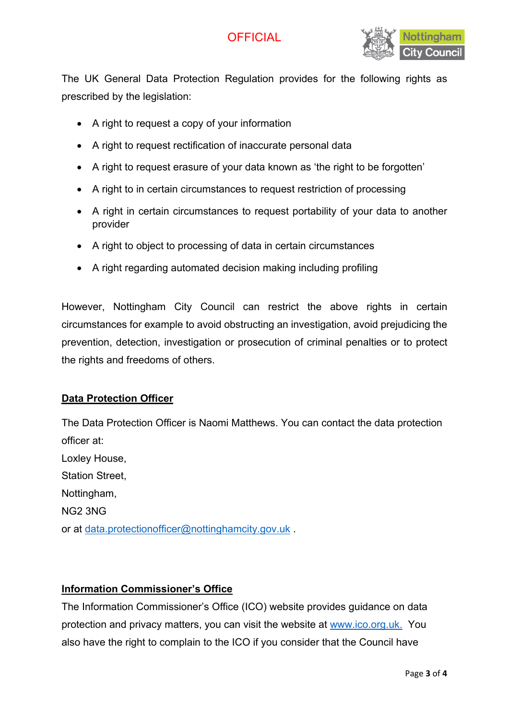# **OFFICIAL**



The UK General Data Protection Regulation provides for the following rights as prescribed by the legislation:

- A right to request a copy of your information
- A right to request rectification of inaccurate personal data
- A right to request erasure of your data known as 'the right to be forgotten'
- A right to in certain circumstances to request restriction of processing
- A right in certain circumstances to request portability of your data to another provider
- A right to object to processing of data in certain circumstances
- A right regarding automated decision making including profiling

However, Nottingham City Council can restrict the above rights in certain circumstances for example to avoid obstructing an investigation, avoid prejudicing the prevention, detection, investigation or prosecution of criminal penalties or to protect the rights and freedoms of others.

#### **Data Protection Officer**

The Data Protection Officer is Naomi Matthews. You can contact the data protection officer at: Loxley House, Station Street, Nottingham, NG2 3NG or at [data.protectionofficer@nottinghamcity.gov.uk](mailto:data.protectionofficer@nottinghamcity.gov.uk) .

#### **Information Commissioner's Office**

The Information Commissioner's Office (ICO) website provides guidance on data protection and privacy matters, you can visit the website at [www.ico.org.uk.](http://www.ico.org.uk/) You also have the right to complain to the ICO if you consider that the Council have